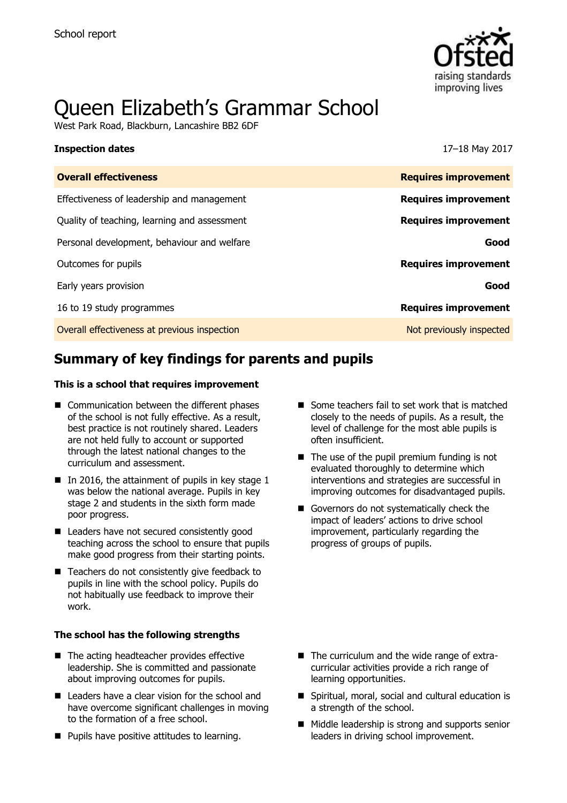

# Queen Elizabeth's Grammar School

West Park Road, Blackburn, Lancashire BB2 6DF

#### **Inspection dates** 17–18 May 2017

| <b>Requires improvement</b> |
|-----------------------------|
| <b>Requires improvement</b> |
| <b>Requires improvement</b> |
| Good                        |
| <b>Requires improvement</b> |
| Good                        |
| <b>Requires improvement</b> |
| Not previously inspected    |
|                             |

# **Summary of key findings for parents and pupils**

#### **This is a school that requires improvement**

- Communication between the different phases of the school is not fully effective. As a result, best practice is not routinely shared. Leaders are not held fully to account or supported through the latest national changes to the curriculum and assessment.
- $\blacksquare$  In 2016, the attainment of pupils in key stage 1 was below the national average. Pupils in key stage 2 and students in the sixth form made poor progress.
- Leaders have not secured consistently good teaching across the school to ensure that pupils make good progress from their starting points.
- Teachers do not consistently give feedback to pupils in line with the school policy. Pupils do not habitually use feedback to improve their work.

#### **The school has the following strengths**

- The acting headteacher provides effective leadership. She is committed and passionate about improving outcomes for pupils.
- Leaders have a clear vision for the school and have overcome significant challenges in moving to the formation of a free school.
- **Pupils have positive attitudes to learning.**
- Some teachers fail to set work that is matched closely to the needs of pupils. As a result, the level of challenge for the most able pupils is often insufficient.
- $\blacksquare$  The use of the pupil premium funding is not evaluated thoroughly to determine which interventions and strategies are successful in improving outcomes for disadvantaged pupils.
- Governors do not systematically check the impact of leaders' actions to drive school improvement, particularly regarding the progress of groups of pupils.

- The curriculum and the wide range of extracurricular activities provide a rich range of learning opportunities.
- Spiritual, moral, social and cultural education is a strength of the school.
- Middle leadership is strong and supports senior leaders in driving school improvement.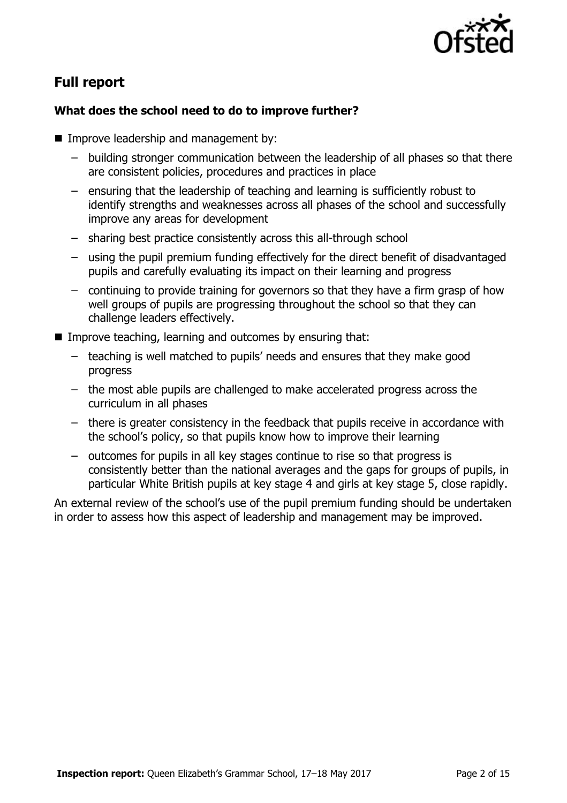

# **Full report**

### **What does the school need to do to improve further?**

- **Improve leadership and management by:** 
	- building stronger communication between the leadership of all phases so that there are consistent policies, procedures and practices in place
	- ensuring that the leadership of teaching and learning is sufficiently robust to identify strengths and weaknesses across all phases of the school and successfully improve any areas for development
	- sharing best practice consistently across this all-through school
	- using the pupil premium funding effectively for the direct benefit of disadvantaged pupils and carefully evaluating its impact on their learning and progress
	- continuing to provide training for governors so that they have a firm grasp of how well groups of pupils are progressing throughout the school so that they can challenge leaders effectively.
- Improve teaching, learning and outcomes by ensuring that:
	- teaching is well matched to pupils' needs and ensures that they make good progress
	- the most able pupils are challenged to make accelerated progress across the curriculum in all phases
	- there is greater consistency in the feedback that pupils receive in accordance with the school's policy, so that pupils know how to improve their learning
	- outcomes for pupils in all key stages continue to rise so that progress is consistently better than the national averages and the gaps for groups of pupils, in particular White British pupils at key stage 4 and girls at key stage 5, close rapidly.

An external review of the school's use of the pupil premium funding should be undertaken in order to assess how this aspect of leadership and management may be improved.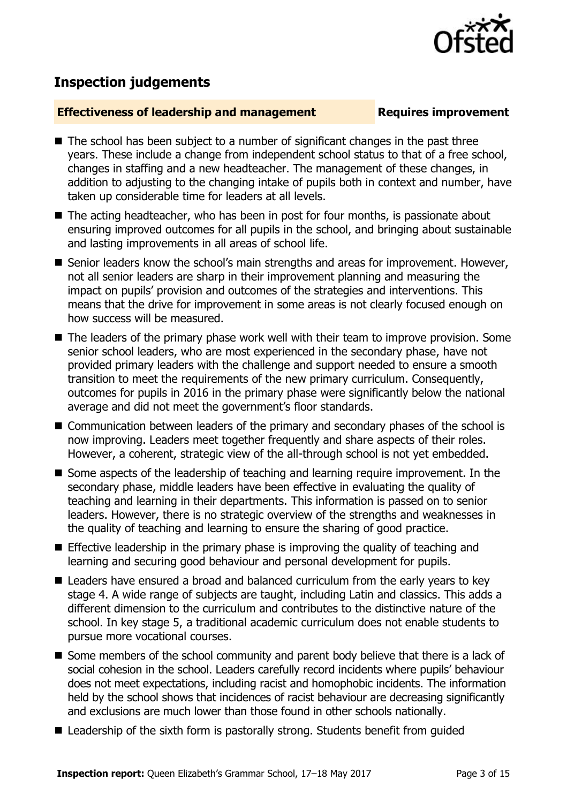

# **Inspection judgements**

#### **Effectiveness of leadership and management Requires improvement**

- $\blacksquare$  The school has been subject to a number of significant changes in the past three years. These include a change from independent school status to that of a free school, changes in staffing and a new headteacher. The management of these changes, in addition to adjusting to the changing intake of pupils both in context and number, have taken up considerable time for leaders at all levels.
- The acting headteacher, who has been in post for four months, is passionate about ensuring improved outcomes for all pupils in the school, and bringing about sustainable and lasting improvements in all areas of school life.
- Senior leaders know the school's main strengths and areas for improvement. However, not all senior leaders are sharp in their improvement planning and measuring the impact on pupils' provision and outcomes of the strategies and interventions. This means that the drive for improvement in some areas is not clearly focused enough on how success will be measured.
- The leaders of the primary phase work well with their team to improve provision. Some senior school leaders, who are most experienced in the secondary phase, have not provided primary leaders with the challenge and support needed to ensure a smooth transition to meet the requirements of the new primary curriculum. Consequently, outcomes for pupils in 2016 in the primary phase were significantly below the national average and did not meet the government's floor standards.
- Communication between leaders of the primary and secondary phases of the school is now improving. Leaders meet together frequently and share aspects of their roles. However, a coherent, strategic view of the all-through school is not yet embedded.
- Some aspects of the leadership of teaching and learning require improvement. In the secondary phase, middle leaders have been effective in evaluating the quality of teaching and learning in their departments. This information is passed on to senior leaders. However, there is no strategic overview of the strengths and weaknesses in the quality of teaching and learning to ensure the sharing of good practice.
- **Effective leadership in the primary phase is improving the quality of teaching and** learning and securing good behaviour and personal development for pupils.
- Leaders have ensured a broad and balanced curriculum from the early vears to key stage 4. A wide range of subjects are taught, including Latin and classics. This adds a different dimension to the curriculum and contributes to the distinctive nature of the school. In key stage 5, a traditional academic curriculum does not enable students to pursue more vocational courses.
- Some members of the school community and parent body believe that there is a lack of social cohesion in the school. Leaders carefully record incidents where pupils' behaviour does not meet expectations, including racist and homophobic incidents. The information held by the school shows that incidences of racist behaviour are decreasing significantly and exclusions are much lower than those found in other schools nationally.
- Leadership of the sixth form is pastorally strong. Students benefit from guided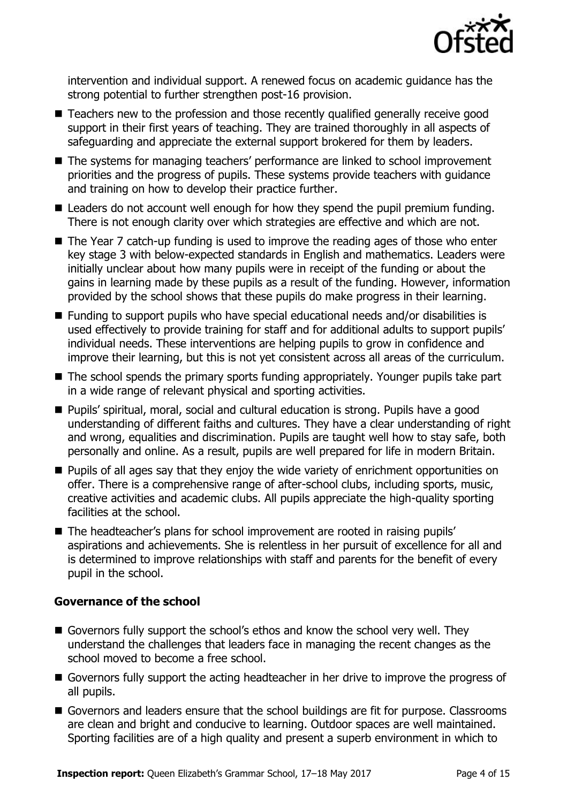

intervention and individual support. A renewed focus on academic guidance has the strong potential to further strengthen post-16 provision.

- Teachers new to the profession and those recently qualified generally receive good support in their first years of teaching. They are trained thoroughly in all aspects of safeguarding and appreciate the external support brokered for them by leaders.
- The systems for managing teachers' performance are linked to school improvement priorities and the progress of pupils. These systems provide teachers with guidance and training on how to develop their practice further.
- Leaders do not account well enough for how they spend the pupil premium funding. There is not enough clarity over which strategies are effective and which are not.
- The Year 7 catch-up funding is used to improve the reading ages of those who enter key stage 3 with below-expected standards in English and mathematics. Leaders were initially unclear about how many pupils were in receipt of the funding or about the gains in learning made by these pupils as a result of the funding. However, information provided by the school shows that these pupils do make progress in their learning.
- Funding to support pupils who have special educational needs and/or disabilities is used effectively to provide training for staff and for additional adults to support pupils' individual needs. These interventions are helping pupils to grow in confidence and improve their learning, but this is not yet consistent across all areas of the curriculum.
- The school spends the primary sports funding appropriately. Younger pupils take part in a wide range of relevant physical and sporting activities.
- Pupils' spiritual, moral, social and cultural education is strong. Pupils have a good understanding of different faiths and cultures. They have a clear understanding of right and wrong, equalities and discrimination. Pupils are taught well how to stay safe, both personally and online. As a result, pupils are well prepared for life in modern Britain.
- **Pupils of all ages say that they enjoy the wide variety of enrichment opportunities on** offer. There is a comprehensive range of after-school clubs, including sports, music, creative activities and academic clubs. All pupils appreciate the high-quality sporting facilities at the school.
- The headteacher's plans for school improvement are rooted in raising pupils' aspirations and achievements. She is relentless in her pursuit of excellence for all and is determined to improve relationships with staff and parents for the benefit of every pupil in the school.

### **Governance of the school**

- Governors fully support the school's ethos and know the school very well. They understand the challenges that leaders face in managing the recent changes as the school moved to become a free school.
- Governors fully support the acting headteacher in her drive to improve the progress of all pupils.
- Governors and leaders ensure that the school buildings are fit for purpose. Classrooms are clean and bright and conducive to learning. Outdoor spaces are well maintained. Sporting facilities are of a high quality and present a superb environment in which to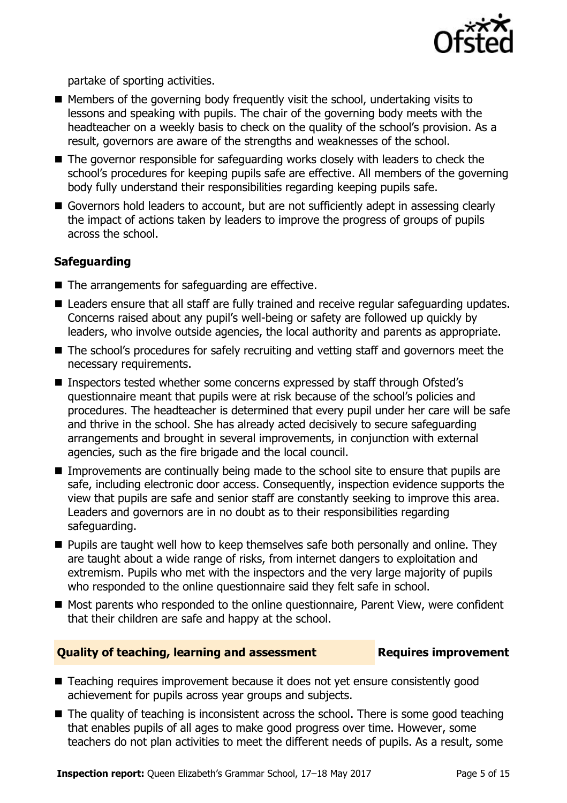

partake of sporting activities.

- $\blacksquare$  Members of the governing body frequently visit the school, undertaking visits to lessons and speaking with pupils. The chair of the governing body meets with the headteacher on a weekly basis to check on the quality of the school's provision. As a result, governors are aware of the strengths and weaknesses of the school.
- The governor responsible for safeguarding works closely with leaders to check the school's procedures for keeping pupils safe are effective. All members of the governing body fully understand their responsibilities regarding keeping pupils safe.
- Governors hold leaders to account, but are not sufficiently adept in assessing clearly the impact of actions taken by leaders to improve the progress of groups of pupils across the school.

### **Safeguarding**

- The arrangements for safeguarding are effective.
- Leaders ensure that all staff are fully trained and receive regular safeguarding updates. Concerns raised about any pupil's well-being or safety are followed up quickly by leaders, who involve outside agencies, the local authority and parents as appropriate.
- The school's procedures for safely recruiting and vetting staff and governors meet the necessary requirements.
- Inspectors tested whether some concerns expressed by staff through Ofsted's questionnaire meant that pupils were at risk because of the school's policies and procedures. The headteacher is determined that every pupil under her care will be safe and thrive in the school. She has already acted decisively to secure safeguarding arrangements and brought in several improvements, in conjunction with external agencies, such as the fire brigade and the local council.
- Improvements are continually being made to the school site to ensure that pupils are safe, including electronic door access. Consequently, inspection evidence supports the view that pupils are safe and senior staff are constantly seeking to improve this area. Leaders and governors are in no doubt as to their responsibilities regarding safeguarding.
- $\blacksquare$  Pupils are taught well how to keep themselves safe both personally and online. They are taught about a wide range of risks, from internet dangers to exploitation and extremism. Pupils who met with the inspectors and the very large majority of pupils who responded to the online questionnaire said they felt safe in school.
- Most parents who responded to the online questionnaire, Parent View, were confident that their children are safe and happy at the school.

#### **Quality of teaching, learning and assessment Requires improvement**

- Teaching requires improvement because it does not vet ensure consistently good achievement for pupils across year groups and subjects.
- The quality of teaching is inconsistent across the school. There is some good teaching that enables pupils of all ages to make good progress over time. However, some teachers do not plan activities to meet the different needs of pupils. As a result, some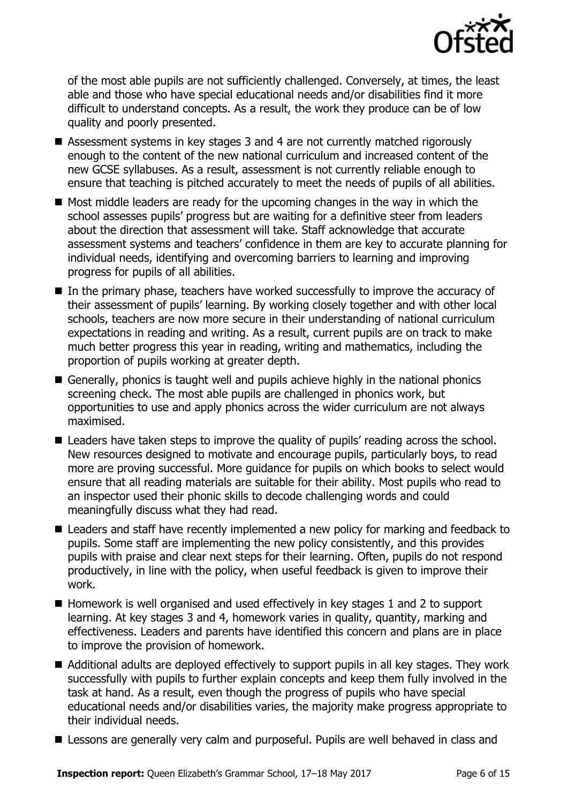

of the most able pupils are not sufficiently challenged. Conversely, at times, the least able and those who have special educational needs and/or disabilities find it more difficult to understand concepts. As a result, the work they produce can be of low quality and poorly presented.

- Assessment systems in key stages 3 and 4 are not currently matched rigorously enough to the content of the new national curriculum and increased content of the new GCSE syllabuses. As a result, assessment is not currently reliable enough to ensure that teaching is pitched accurately to meet the needs of pupils of all abilities.
- $\blacksquare$  Most middle leaders are ready for the upcoming changes in the way in which the school assesses pupils' progress but are waiting for a definitive steer from leaders about the direction that assessment will take. Staff acknowledge that accurate assessment systems and teachers' confidence in them are key to accurate planning for individual needs, identifying and overcoming barriers to learning and improving progress for pupils of all abilities.
- In the primary phase, teachers have worked successfully to improve the accuracy of their assessment of pupils' learning. By working closely together and with other local schools, teachers are now more secure in their understanding of national curriculum expectations in reading and writing. As a result, current pupils are on track to make much better progress this year in reading, writing and mathematics, including the proportion of pupils working at greater depth.
- Generally, phonics is taught well and pupils achieve highly in the national phonics screening check. The most able pupils are challenged in phonics work, but opportunities to use and apply phonics across the wider curriculum are not always maximised.
- Leaders have taken steps to improve the quality of pupils' reading across the school. New resources designed to motivate and encourage pupils, particularly boys, to read more are proving successful. More guidance for pupils on which books to select would ensure that all reading materials are suitable for their ability. Most pupils who read to an inspector used their phonic skills to decode challenging words and could meaningfully discuss what they had read.
- Leaders and staff have recently implemented a new policy for marking and feedback to pupils. Some staff are implementing the new policy consistently, and this provides pupils with praise and clear next steps for their learning. Often, pupils do not respond productively, in line with the policy, when useful feedback is given to improve their work.
- $\blacksquare$  Homework is well organised and used effectively in key stages 1 and 2 to support learning. At key stages 3 and 4, homework varies in quality, quantity, marking and effectiveness. Leaders and parents have identified this concern and plans are in place to improve the provision of homework.
- Additional adults are deployed effectively to support pupils in all key stages. They work successfully with pupils to further explain concepts and keep them fully involved in the task at hand. As a result, even though the progress of pupils who have special educational needs and/or disabilities varies, the majority make progress appropriate to their individual needs.
- **E** Lessons are generally very calm and purposeful. Pupils are well behaved in class and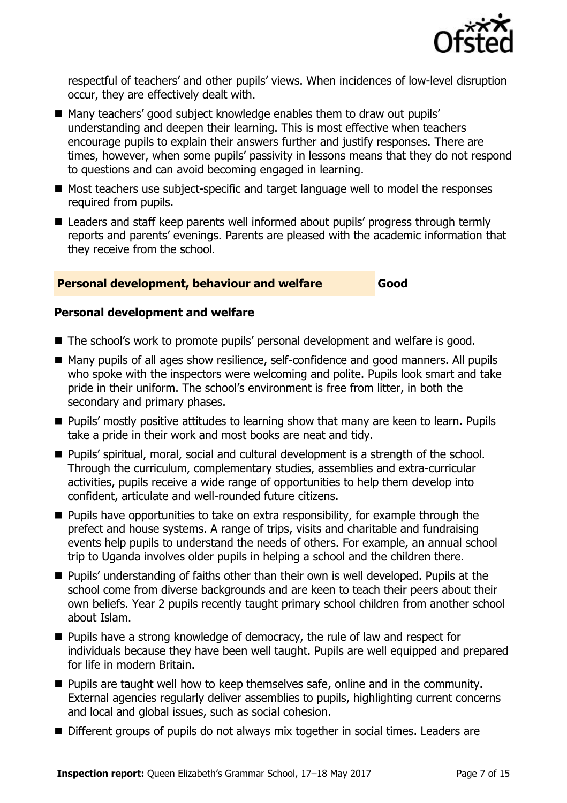

respectful of teachers' and other pupils' views. When incidences of low-level disruption occur, they are effectively dealt with.

- Many teachers' good subject knowledge enables them to draw out pupils' understanding and deepen their learning. This is most effective when teachers encourage pupils to explain their answers further and justify responses. There are times, however, when some pupils' passivity in lessons means that they do not respond to questions and can avoid becoming engaged in learning.
- Most teachers use subject-specific and target language well to model the responses required from pupils.
- Leaders and staff keep parents well informed about pupils' progress through termly reports and parents' evenings. Parents are pleased with the academic information that they receive from the school.

#### **Personal development, behaviour and welfare Good**

#### **Personal development and welfare**

- The school's work to promote pupils' personal development and welfare is good.
- Many pupils of all ages show resilience, self-confidence and good manners. All pupils who spoke with the inspectors were welcoming and polite. Pupils look smart and take pride in their uniform. The school's environment is free from litter, in both the secondary and primary phases.
- **Pupils' mostly positive attitudes to learning show that many are keen to learn. Pupils** take a pride in their work and most books are neat and tidy.
- Pupils' spiritual, moral, social and cultural development is a strength of the school. Through the curriculum, complementary studies, assemblies and extra-curricular activities, pupils receive a wide range of opportunities to help them develop into confident, articulate and well-rounded future citizens.
- $\blacksquare$  Pupils have opportunities to take on extra responsibility, for example through the prefect and house systems. A range of trips, visits and charitable and fundraising events help pupils to understand the needs of others. For example, an annual school trip to Uganda involves older pupils in helping a school and the children there.
- **Pupils' understanding of faiths other than their own is well developed. Pupils at the** school come from diverse backgrounds and are keen to teach their peers about their own beliefs. Year 2 pupils recently taught primary school children from another school about Islam.
- **Pupils have a strong knowledge of democracy, the rule of law and respect for** individuals because they have been well taught. Pupils are well equipped and prepared for life in modern Britain.
- **Pupils are taught well how to keep themselves safe, online and in the community.** External agencies regularly deliver assemblies to pupils, highlighting current concerns and local and global issues, such as social cohesion.
- Different groups of pupils do not always mix together in social times. Leaders are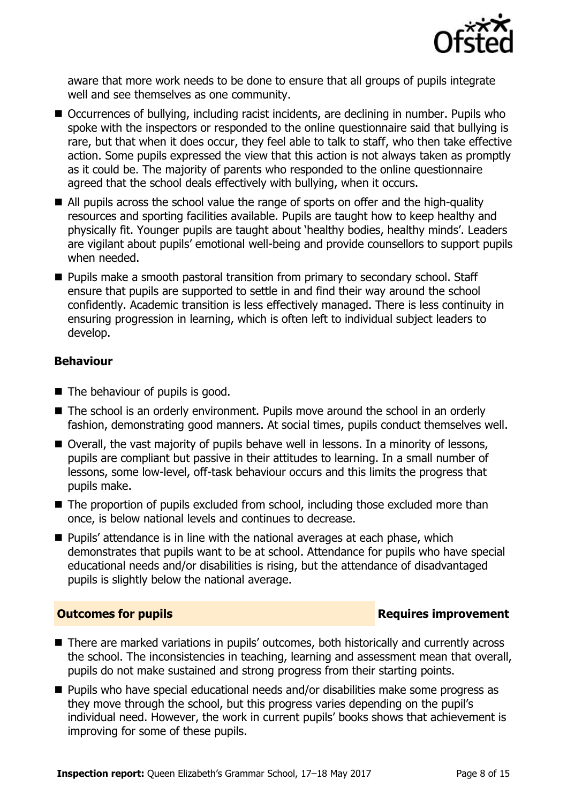

aware that more work needs to be done to ensure that all groups of pupils integrate well and see themselves as one community.

- Occurrences of bullying, including racist incidents, are declining in number. Pupils who spoke with the inspectors or responded to the online questionnaire said that bullying is rare, but that when it does occur, they feel able to talk to staff, who then take effective action. Some pupils expressed the view that this action is not always taken as promptly as it could be. The majority of parents who responded to the online questionnaire agreed that the school deals effectively with bullying, when it occurs.
- All pupils across the school value the range of sports on offer and the high-quality resources and sporting facilities available. Pupils are taught how to keep healthy and physically fit. Younger pupils are taught about 'healthy bodies, healthy minds'. Leaders are vigilant about pupils' emotional well-being and provide counsellors to support pupils when needed.
- **Pupils make a smooth pastoral transition from primary to secondary school. Staff** ensure that pupils are supported to settle in and find their way around the school confidently. Academic transition is less effectively managed. There is less continuity in ensuring progression in learning, which is often left to individual subject leaders to develop.

### **Behaviour**

- The behaviour of pupils is good.
- The school is an orderly environment. Pupils move around the school in an orderly fashion, demonstrating good manners. At social times, pupils conduct themselves well.
- Overall, the vast majority of pupils behave well in lessons. In a minority of lessons, pupils are compliant but passive in their attitudes to learning. In a small number of lessons, some low-level, off-task behaviour occurs and this limits the progress that pupils make.
- The proportion of pupils excluded from school, including those excluded more than once, is below national levels and continues to decrease.
- **Pupils' attendance is in line with the national averages at each phase, which** demonstrates that pupils want to be at school. Attendance for pupils who have special educational needs and/or disabilities is rising, but the attendance of disadvantaged pupils is slightly below the national average.

### **Outcomes for pupils Requires improvement**

- There are marked variations in pupils' outcomes, both historically and currently across the school. The inconsistencies in teaching, learning and assessment mean that overall, pupils do not make sustained and strong progress from their starting points.
- **Pupils who have special educational needs and/or disabilities make some progress as** they move through the school, but this progress varies depending on the pupil's individual need. However, the work in current pupils' books shows that achievement is improving for some of these pupils.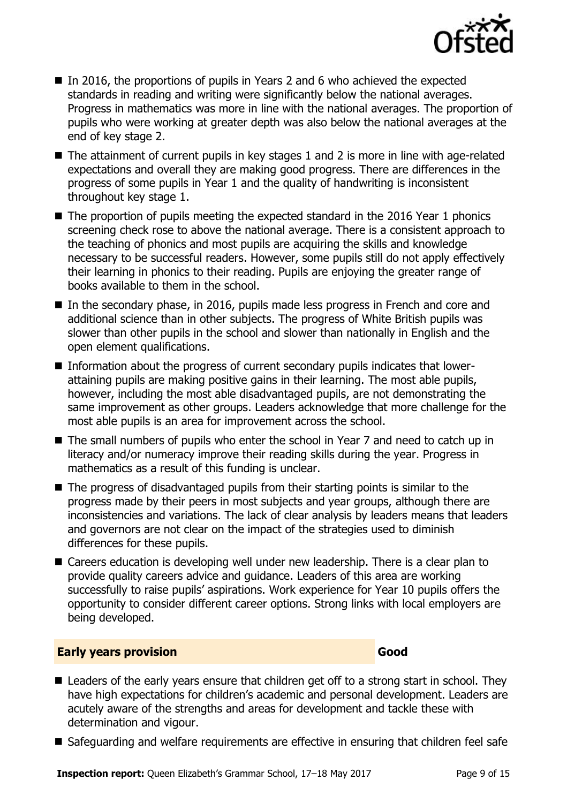

- In 2016, the proportions of pupils in Years 2 and 6 who achieved the expected standards in reading and writing were significantly below the national averages. Progress in mathematics was more in line with the national averages. The proportion of pupils who were working at greater depth was also below the national averages at the end of key stage 2.
- The attainment of current pupils in key stages 1 and 2 is more in line with age-related expectations and overall they are making good progress. There are differences in the progress of some pupils in Year 1 and the quality of handwriting is inconsistent throughout key stage 1.
- The proportion of pupils meeting the expected standard in the 2016 Year 1 phonics screening check rose to above the national average. There is a consistent approach to the teaching of phonics and most pupils are acquiring the skills and knowledge necessary to be successful readers. However, some pupils still do not apply effectively their learning in phonics to their reading. Pupils are enjoying the greater range of books available to them in the school.
- In the secondary phase, in 2016, pupils made less progress in French and core and additional science than in other subjects. The progress of White British pupils was slower than other pupils in the school and slower than nationally in English and the open element qualifications.
- Information about the progress of current secondary pupils indicates that lowerattaining pupils are making positive gains in their learning. The most able pupils, however, including the most able disadvantaged pupils, are not demonstrating the same improvement as other groups. Leaders acknowledge that more challenge for the most able pupils is an area for improvement across the school.
- The small numbers of pupils who enter the school in Year 7 and need to catch up in literacy and/or numeracy improve their reading skills during the year. Progress in mathematics as a result of this funding is unclear.
- $\blacksquare$  The progress of disadvantaged pupils from their starting points is similar to the progress made by their peers in most subjects and year groups, although there are inconsistencies and variations. The lack of clear analysis by leaders means that leaders and governors are not clear on the impact of the strategies used to diminish differences for these pupils.
- Careers education is developing well under new leadership. There is a clear plan to provide quality careers advice and guidance. Leaders of this area are working successfully to raise pupils' aspirations. Work experience for Year 10 pupils offers the opportunity to consider different career options. Strong links with local employers are being developed.

#### **Early years provision Good Good**

- Leaders of the early years ensure that children get off to a strong start in school. They have high expectations for children's academic and personal development. Leaders are acutely aware of the strengths and areas for development and tackle these with determination and vigour.
- Safeguarding and welfare requirements are effective in ensuring that children feel safe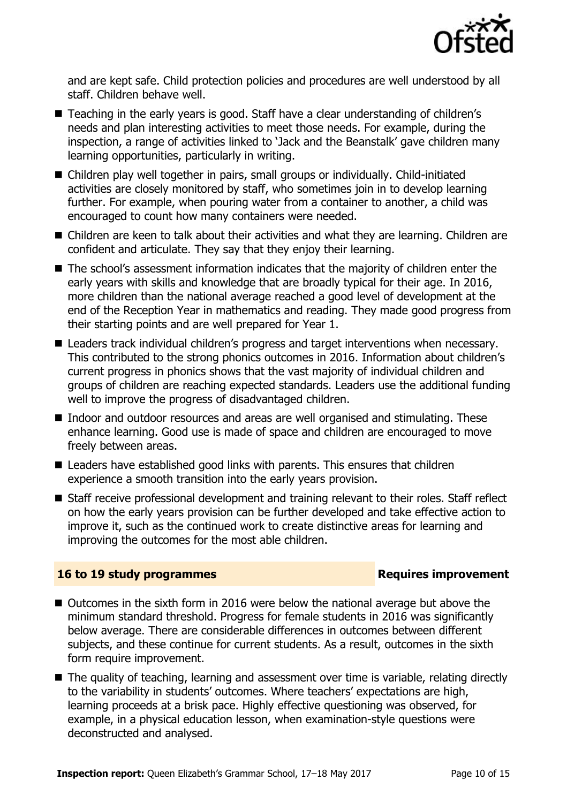

and are kept safe. Child protection policies and procedures are well understood by all staff. Children behave well.

- Teaching in the early years is good. Staff have a clear understanding of children's needs and plan interesting activities to meet those needs. For example, during the inspection, a range of activities linked to 'Jack and the Beanstalk' gave children many learning opportunities, particularly in writing.
- Children play well together in pairs, small groups or individually. Child-initiated activities are closely monitored by staff, who sometimes join in to develop learning further. For example, when pouring water from a container to another, a child was encouraged to count how many containers were needed.
- Children are keen to talk about their activities and what they are learning. Children are confident and articulate. They say that they enjoy their learning.
- The school's assessment information indicates that the majority of children enter the early years with skills and knowledge that are broadly typical for their age. In 2016, more children than the national average reached a good level of development at the end of the Reception Year in mathematics and reading. They made good progress from their starting points and are well prepared for Year 1.
- Leaders track individual children's progress and target interventions when necessary. This contributed to the strong phonics outcomes in 2016. Information about children's current progress in phonics shows that the vast majority of individual children and groups of children are reaching expected standards. Leaders use the additional funding well to improve the progress of disadvantaged children.
- Indoor and outdoor resources and areas are well organised and stimulating. These enhance learning. Good use is made of space and children are encouraged to move freely between areas.
- Leaders have established good links with parents. This ensures that children experience a smooth transition into the early years provision.
- Staff receive professional development and training relevant to their roles. Staff reflect on how the early years provision can be further developed and take effective action to improve it, such as the continued work to create distinctive areas for learning and improving the outcomes for the most able children.

### **16 to 19 study programmes Requires improvement**

- Outcomes in the sixth form in 2016 were below the national average but above the minimum standard threshold. Progress for female students in 2016 was significantly below average. There are considerable differences in outcomes between different subjects, and these continue for current students. As a result, outcomes in the sixth form require improvement.
- The quality of teaching, learning and assessment over time is variable, relating directly to the variability in students' outcomes. Where teachers' expectations are high, learning proceeds at a brisk pace. Highly effective questioning was observed, for example, in a physical education lesson, when examination-style questions were deconstructed and analysed.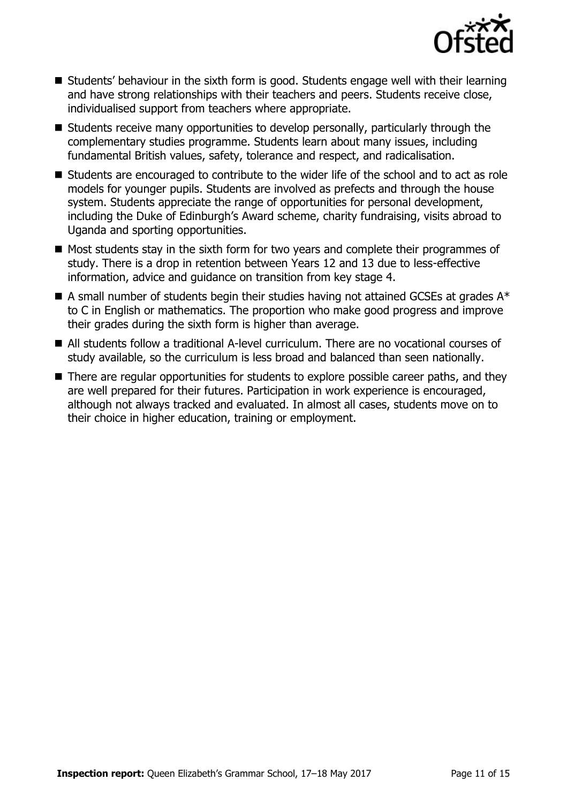

- Students' behaviour in the sixth form is good. Students engage well with their learning and have strong relationships with their teachers and peers. Students receive close, individualised support from teachers where appropriate.
- Students receive many opportunities to develop personally, particularly through the complementary studies programme. Students learn about many issues, including fundamental British values, safety, tolerance and respect, and radicalisation.
- Students are encouraged to contribute to the wider life of the school and to act as role models for younger pupils. Students are involved as prefects and through the house system. Students appreciate the range of opportunities for personal development, including the Duke of Edinburgh's Award scheme, charity fundraising, visits abroad to Uganda and sporting opportunities.
- Most students stay in the sixth form for two years and complete their programmes of study. There is a drop in retention between Years 12 and 13 due to less-effective information, advice and guidance on transition from key stage 4.
- $\blacksquare$  A small number of students begin their studies having not attained GCSEs at grades  $A^*$ to C in English or mathematics. The proportion who make good progress and improve their grades during the sixth form is higher than average.
- All students follow a traditional A-level curriculum. There are no vocational courses of study available, so the curriculum is less broad and balanced than seen nationally.
- There are regular opportunities for students to explore possible career paths, and they are well prepared for their futures. Participation in work experience is encouraged, although not always tracked and evaluated. In almost all cases, students move on to their choice in higher education, training or employment.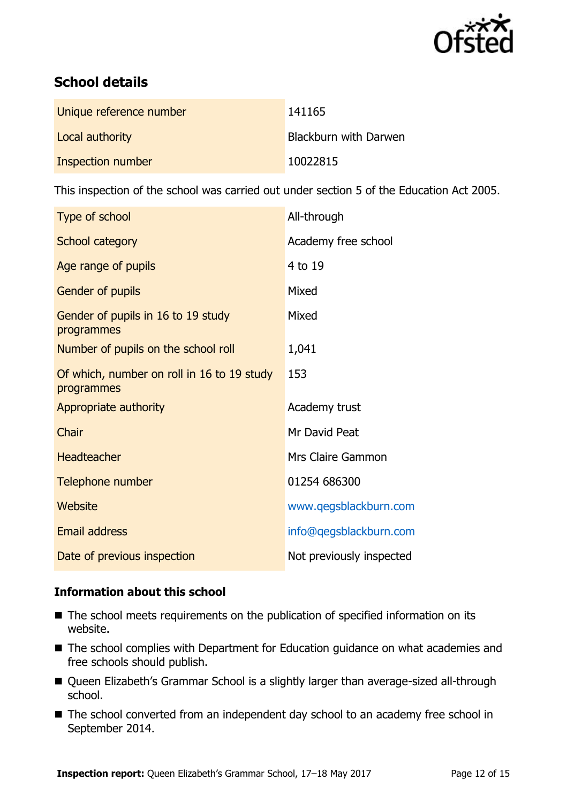

# **School details**

| Unique reference number | 141165                       |
|-------------------------|------------------------------|
| Local authority         | <b>Blackburn with Darwen</b> |
| Inspection number       | 10022815                     |

This inspection of the school was carried out under section 5 of the Education Act 2005.

| Type of school                                           | All-through              |
|----------------------------------------------------------|--------------------------|
| School category                                          | Academy free school      |
| Age range of pupils                                      | 4 to 19                  |
| Gender of pupils                                         | Mixed                    |
| Gender of pupils in 16 to 19 study<br>programmes         | Mixed                    |
| Number of pupils on the school roll                      | 1,041                    |
| Of which, number on roll in 16 to 19 study<br>programmes | 153                      |
| Appropriate authority                                    | Academy trust            |
| <b>Chair</b>                                             | Mr David Peat            |
| <b>Headteacher</b>                                       | Mrs Claire Gammon        |
| Telephone number                                         | 01254 686300             |
| Website                                                  | www.qegsblackburn.com    |
| <b>Email address</b>                                     | info@qegsblackburn.com   |
| Date of previous inspection                              | Not previously inspected |

### **Information about this school**

- The school meets requirements on the publication of specified information on its website.
- The school complies with Department for Education guidance on what academies and free schools should publish.
- Queen Elizabeth's Grammar School is a slightly larger than average-sized all-through school.
- The school converted from an independent day school to an academy free school in September 2014.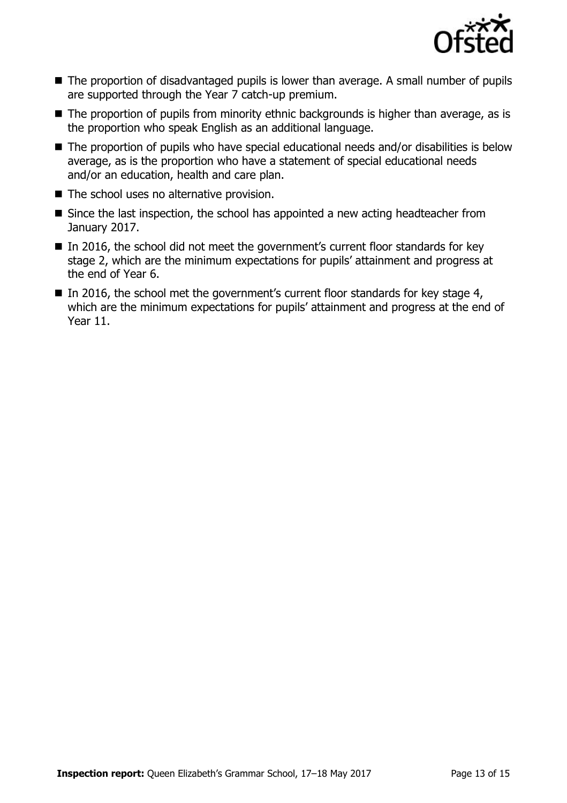

- The proportion of disadvantaged pupils is lower than average. A small number of pupils are supported through the Year 7 catch-up premium.
- The proportion of pupils from minority ethnic backgrounds is higher than average, as is the proportion who speak English as an additional language.
- The proportion of pupils who have special educational needs and/or disabilities is below average, as is the proportion who have a statement of special educational needs and/or an education, health and care plan.
- The school uses no alternative provision.
- Since the last inspection, the school has appointed a new acting headteacher from January 2017.
- In 2016, the school did not meet the government's current floor standards for key stage 2, which are the minimum expectations for pupils' attainment and progress at the end of Year 6.
- In 2016, the school met the government's current floor standards for key stage 4, which are the minimum expectations for pupils' attainment and progress at the end of Year 11.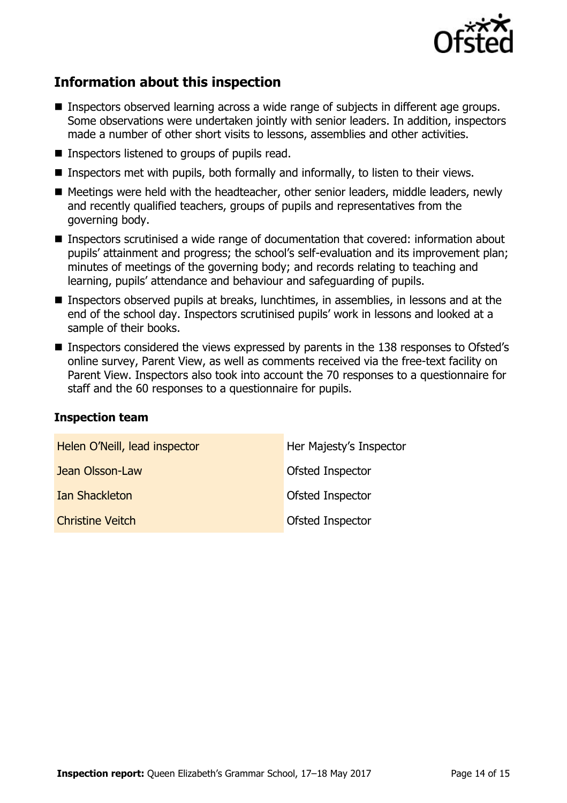

# **Information about this inspection**

- Inspectors observed learning across a wide range of subjects in different age groups. Some observations were undertaken jointly with senior leaders. In addition, inspectors made a number of other short visits to lessons, assemblies and other activities.
- **Inspectors listened to groups of pupils read.**
- Inspectors met with pupils, both formally and informally, to listen to their views.
- Meetings were held with the headteacher, other senior leaders, middle leaders, newly and recently qualified teachers, groups of pupils and representatives from the governing body.
- Inspectors scrutinised a wide range of documentation that covered: information about pupils' attainment and progress; the school's self-evaluation and its improvement plan; minutes of meetings of the governing body; and records relating to teaching and learning, pupils' attendance and behaviour and safeguarding of pupils.
- Inspectors observed pupils at breaks, lunchtimes, in assemblies, in lessons and at the end of the school day. Inspectors scrutinised pupils' work in lessons and looked at a sample of their books.
- Inspectors considered the views expressed by parents in the 138 responses to Ofsted's online survey, Parent View, as well as comments received via the free-text facility on Parent View. Inspectors also took into account the 70 responses to a questionnaire for staff and the 60 responses to a questionnaire for pupils.

#### **Inspection team**

| Helen O'Neill, lead inspector | Her Majesty's Inspector |
|-------------------------------|-------------------------|
| Jean Olsson-Law               | Ofsted Inspector        |
| <b>Ian Shackleton</b>         | Ofsted Inspector        |
| <b>Christine Veitch</b>       | Ofsted Inspector        |